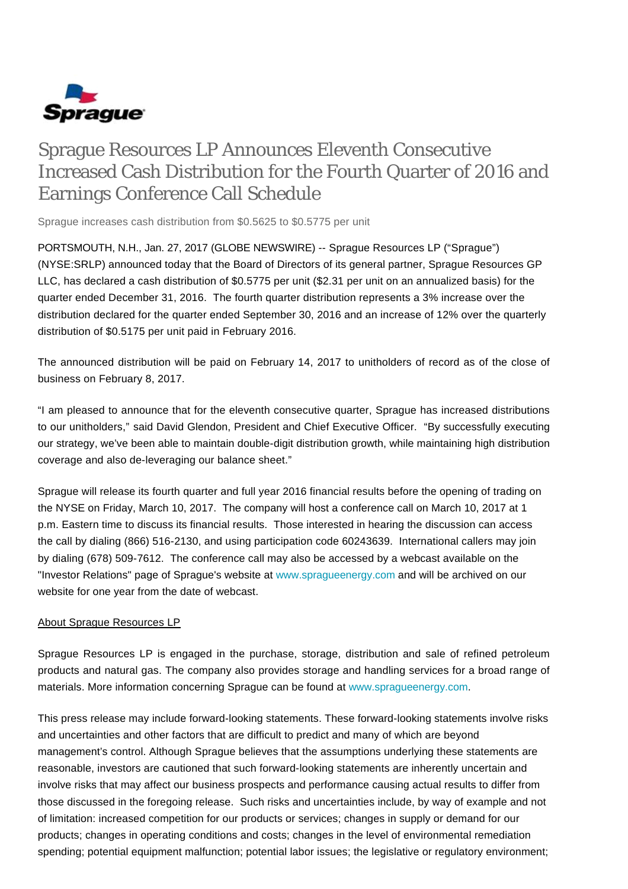

## Sprague Resources LP Announces Eleventh Consecutive Increased Cash Distribution for the Fourth Quarter of 2016 and Earnings Conference Call Schedule

Sprague increases cash distribution from \$0.5625 to \$0.5775 per unit

PORTSMOUTH, N.H., Jan. 27, 2017 (GLOBE NEWSWIRE) -- Sprague Resources LP ("Sprague") (NYSE:SRLP) announced today that the Board of Directors of its general partner, Sprague Resources GP LLC, has declared a cash distribution of \$0.5775 per unit (\$2.31 per unit on an annualized basis) for the quarter ended December 31, 2016. The fourth quarter distribution represents a 3% increase over the distribution declared for the quarter ended September 30, 2016 and an increase of 12% over the quarterly distribution of \$0.5175 per unit paid in February 2016.

The announced distribution will be paid on February 14, 2017 to unitholders of record as of the close of business on February 8, 2017.

"I am pleased to announce that for the eleventh consecutive quarter, Sprague has increased distributions to our unitholders," said David Glendon, President and Chief Executive Officer. "By successfully executing our strategy, we've been able to maintain double-digit distribution growth, while maintaining high distribution coverage and also de-leveraging our balance sheet."

Sprague will release its fourth quarter and full year 2016 financial results before the opening of trading on the NYSE on Friday, March 10, 2017. The company will host a conference call on March 10, 2017 at 1 p.m. Eastern time to discuss its financial results. Those interested in hearing the discussion can access the call by dialing (866) 516-2130, and using participation code 60243639. International callers may join by dialing (678) 509-7612. The conference call may also be accessed by a webcast available on the "Investor Relations" page of Sprague's website at [www.spragueenergy.com](http://www.spragueenergy.com/) and will be archived on our website for one year from the date of webcast.

## About Sprague Resources LP

Sprague Resources LP is engaged in the purchase, storage, distribution and sale of refined petroleum products and natural gas. The company also provides storage and handling services for a broad range of materials. More information concerning Sprague can be found at [www.spragueenergy.com](http://www.spragueenergy.com/).

This press release may include forward-looking statements. These forward-looking statements involve risks and uncertainties and other factors that are difficult to predict and many of which are beyond management's control. Although Sprague believes that the assumptions underlying these statements are reasonable, investors are cautioned that such forward-looking statements are inherently uncertain and involve risks that may affect our business prospects and performance causing actual results to differ from those discussed in the foregoing release. Such risks and uncertainties include, by way of example and not of limitation: increased competition for our products or services; changes in supply or demand for our products; changes in operating conditions and costs; changes in the level of environmental remediation spending; potential equipment malfunction; potential labor issues; the legislative or regulatory environment;